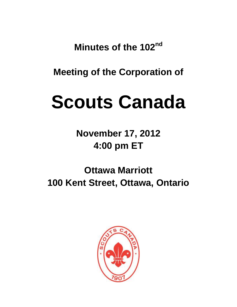**Minutes of the 102nd**

**Meeting of the Corporation of**

# **Scouts Canada**

**November 17, 2012 4:00 pm ET**

**Ottawa Marriott 100 Kent Street, Ottawa, Ontario**

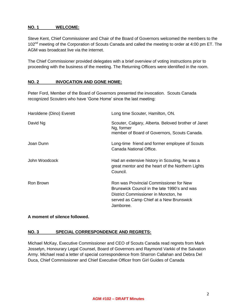# **NO. 1 WELCOME:**

Steve Kent, Chief Commissioner and Chair of the Board of Governors welcomed the members to the 102<sup>nd</sup> meeting of the Corporation of Scouts Canada and called the meeting to order at 4:00 pm ET. The AGM was broadcast live via the internet.

The Chief Commissioner provided delegates with a brief overview of voting instructions prior to proceeding with the business of the meeting. The Returning Officers were identified in the room.

# **NO. 2 INVOCATION AND GONE HOME:**

Peter Ford, Member of the Board of Governors presented the invocation. Scouts Canada recognized Scouters who have 'Gone Home' since the last meeting:

| Haroldene (Dino) Everett | Long time Scouter, Hamilton, ON.                                                                                                                                                        |
|--------------------------|-----------------------------------------------------------------------------------------------------------------------------------------------------------------------------------------|
| David Ng                 | Scouter, Calgary, Alberta. Beloved brother of Janet<br>Ng, former<br>member of Board of Governors, Scouts Canada.                                                                       |
| Joan Dunn                | Long-time friend and former employee of Scouts<br>Canada National Office.                                                                                                               |
| John Woodcock            | Had an extensive history in Scouting, he was a<br>great mentor and the heart of the Northern Lights<br>Council.                                                                         |
| Ron Brown                | Ron was Provincial Commissioner for New<br>Brunswick Council in the late 1990's and was<br>District Commissioner in Moncton, he<br>served as Camp Chief at a New Brunswick<br>Jamboree. |

# **A moment of silence followed.**

# **NO. 3 SPECIAL CORRESPONDENCE AND REGRETS:**

Michael McKay, Executive Commissioner and CEO of Scouts Canada read regrets from Mark Josselyn, Honourary Legal Counsel, Board of Governors and Raymond Varkki of the Salvation Army. Michael read a letter of special correspondence from Sharron Callahan and Debra Del Duca, Chief Commissioner and Chief Executive Officer from Girl Guides of Canada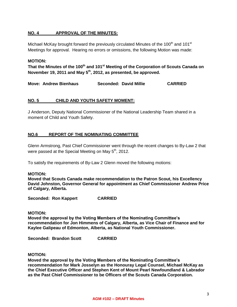# **NO. 4 APPROVAL OF THE MINUTES:**

Michael McKay brought forward the previously circulated Minutes of the 100<sup>th</sup> and 101<sup>st</sup> Meetings for approval. Hearing no errors or omissions, the following Motion was made:

## **MOTION:**

**That the Minutes of the 100 th and 101st Meeting of the Corporation of Scouts Canada on November 19, 2011 and May 5th, 2012, as presented, be approved.**

**Move: Andrew Bienhaus Seconded: David Millie CARRIED**

## **NO. 5 CHILD AND YOUTH SAFETY MOMENT:**

J Anderson, Deputy National Commissioner of the National Leadership Team shared in a moment of Child and Youth Safety.

## **NO.6 REPORT OF THE NOMINATING COMMITTEE**

Glenn Armstrong, Past Chief Commissioner went through the recent changes to By-Law 2 that were passed at the Special Meeting on May 5<sup>th</sup>, 2012.

To satisfy the requirements of By-Law 2 Glenn moved the following motions:

## **MOTION:**

**Moved that Scouts Canada make recommendation to the Patron Scout, his Excellency David Johnston, Governor General for appointment as Chief Commissioner Andrew Price of Calgary, Alberta.**

**Seconded: Ron Kappert CARRIED**

#### **MOTION:**

**Moved the approval by the Voting Members of the Nominating Committee's recommendation for Jon Himmens of Calgary, Alberta, as Vice Chair of Finance and for Kaylee Galipeau of Edmonton, Alberta, as National Youth Commissioner.**

**Seconded: Brandon Scott CARRIED**

#### **MOTION:**

**Moved the approval by the Voting Members of the Nominating Committee's recommendation for Mark Josselyn as the Honouray Legal Counsel, Michael McKay as the Chief Executive Officer and Stephen Kent of Mount Pearl Newfoundland & Labrador as the Past Chief Commissioner to be Officers of the Scouts Canada Corporation.**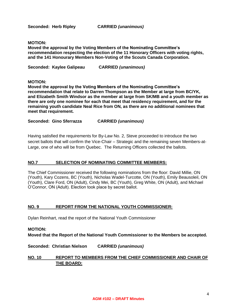**Seconded: Herb Ripley CARRIED** *(unanimous)*

#### **MOTION:**

**Moved the approval by the Voting Members of the Nominating Committee's recommendation respecting the election of the 11 Honorary Officers with voting rights, and the 141 Honourary Members Non-Voting of the Scouts Canada Corporation.** 

**Seconded: Kaylee Galipeau CARRIED** *(unanimous)*

#### **MOTION:**

**Moved the approval by the Voting Members of the Nominating Committee's recommendation that relate to Darren Thompson as the Member at large from BC/YK, and Elizabeth Smith Windsor as the member at large from SK/MB and a youth member as there are only one nominee for each that meet that residency requirement, and for the remaining youth candidate Neal Rice from ON, as there are no additional nominees that meet that requirement.**

## **Seconded: Gino Sferrazza CARRIED** *(unanimous)*

Having satisfied the requirements for By-Law No. 2, Steve proceeded to introduce the two secret ballots that will confirm the Vice-Chair – Strategic and the remaining seven Members-at-Large, one of who will be from Quebec. The Returning Officers collected the ballots.

## **NO.7 SELECTION OF NOMINATING COMMITTEE MEMBERS:**

The Chief Commissioner received the following nominations from the floor: David Millie, ON (Youth), Kary Cozens, BC (Youth), Nicholas Wadel-Turcotte, ON (Youth), Emily Beausoleil, ON (Youth), Clare Ford, ON (Adult), Cindy Mei, BC (Youth), Greg White, ON (Adult), and Michael O'Connor, ON (Adult). Election took place by secret ballot.

## **NO. 9 REPORT FROM THE NATIONAL YOUTH COMMISSIONER:**

Dylan Reinhart, read the report of the National Youth Commissioner

## **MOTION:**

**Moved that the Report of the National Youth Commissioner to the Members be accepted.** 

**Seconded: Christian Nielson CARRIED** *(unanimous)*

# **NO. 10 REPORT TO MEMBERS FROM THE CHIEF COMMISSIONER AND CHAIR OF THE BOARD:**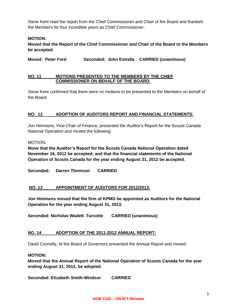Steve Kent read the report from the Chief Commissioner and Chair of the Board and thanked the Members for four incredible years as Chief Commissioner.

# **MOTION:**

**Moved that the Report of the Chief Commissioner and Chair of the Board to the Members be accepted.** 

**Moved: Peter Ford Seconded: John Estrella CARRIED** *(unanimous)*

## **NO. 11 MOTIONS PRESENTED TO THE MEMBERS BY THE CHIEF COMMISSIONER ON BEHALF OF THE BOARD:**

Steve Kent confirmed that there were no motions to be presented to the Members on behalf of the Board.

# **NO. 12 ADOPTION OF AUDITORS REPORT AND FINANCIAL STATEMENTS:**

Jon Himmens, Vice-Chair of Finance, presented the Auditor's Report for the Scouts Canada National Operation and moved the following:

MOTION:

**Move that the Auditor's Report for the Scouts Canada National Operation dated November 16, 2012 be accepted; and that the financial statements of the National Operation of Scouts Canada for the year ending August 31, 2012 be accepted.**

**Seconded: Darren Thomson CARRIED**

# **NO. 13 APPOINTMENT OF AUDITORS FOR 2012/2013:**

**Jon Himmens moved that the firm of KPMG be appointed as Auditors for the National Operation for the year ending August 31, 2013.**

**Seconded: Nicholas Wadell- Turcotte CARRIED (unanimous)** 

# **NO. 14 ADOPTION OF THE 2011-2012 ANNUAL REPORT:**

David Connelly, of the Board of Governors presented the Annual Report and moved:

## **MOTION:**

**Moved that the Annual Report of the National Operation of Scouts Canada for the year ending August 31, 2012, be adopted.**

**Seconded: Elizabeth Smith-Windsor CARRIED**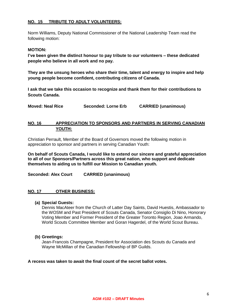# **NO. 15 TRIBUTE TO ADULT VOLUNTEERS:**

Norm Williams, Deputy National Commissioner of the National Leadership Team read the following motion:

## **MOTION:**

**I've been given the distinct honour to pay tribute to our volunteers – these dedicated people who believe in all work and no pay.** 

**They are the unsung heroes who share their time, talent and energy to inspire and help young people become confident, contributing citizens of Canada.** 

**I ask that we take this occasion to recognize and thank them for their contributions to Scouts Canada.** 

**Moved: Neal Rice Seconded: Lorne Erb CARRIED (unanimous)**

# **NO. 16 APPRECIATION TO SPONSORS AND PARTNERS IN SERVING CANADIAN YOUTH:**

Christian Perrault, Member of the Board of Governors moved the following motion in appreciation to sponsor and partners in serving Canadian Youth:

**On behalf of Scouts Canada, I would like to extend our sincere and grateful appreciation to all of our Sponsors/Partners across this great nation, who support and dedicate themselves to aiding us to fulfill our Mission to Canadian youth.**

**Seconded: Alex Court CARRIED (unanimous)**

## **NO. 17 OTHER BUSINESS:**

**(a) Special Guests:** 

Dennis MacAteer from the Church of Latter Day Saints, David Huestis, Ambassador to the WOSM and Past President of Scouts Canada, Senator Consiglio Di Nino, Honorary Voting Member and Former President of the Greater Toronto Region, Joao Armando, World Scouts Committee Member and Goran Hagerdel, of the World Scout Bureau.

## **(b) Greetings:**

Jean-Francois Champagne, President for Association des Scouts du Canada and Wayne McMillan of the Canadian Fellowship of BP Guilds.

## **A recess was taken to await the final count of the secret ballot votes.**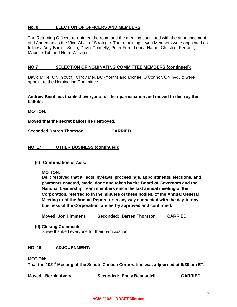# **No. 8 ELECTION OF OFFICERS AND MEMBERS**

The Returning Officers re-entered the room and the meeting continued with the announcement of J Anderson as the Vice-Chair of Strategic. The remaining seven Members were appointed as follows: Amy Barrett-Smith, David Connelly, Peter Ford, Leona Harari, Christian Perrault, Maurice Tuff and Norm Williams

## **NO.7 SELECTION OF NOMINATING COMMITTEE MEMBERS (continued):**

David Millie, ON (Youth), Cindy Mei, BC (Youth) and Michael O'Connor, ON (Adult) were appoint to the Nominating Committee.

**Andrew Bienhaus thanked everyone for their participation and moved to destroy the ballots:**

**MOTION:**

**Moved that the secret ballots be destroyed.** 

**Seconded Darren Thomson CARRIED**

## **NO. 17 OTHER BUSINESS (continued):**

**(c) Confirmation of Acts:**

**MOTION:**

**Be it resolved that all acts, by-laws, proceedings, appointments, elections, and payments enacted, made, done and taken by the Board of Governors and the National Leadership Team members since the last annual meeting of the Corporation, referred to in the minutes of these bodies, of the Annual General Meeting or of the Annual Report, or in any way connected with the day-to-day business of the Corporation, are herby approved and confirmed.**

**Moved: Jon Himmens Seconded: Darren Thomson CARRIED**

**(d) Closing Comments**:

Steve thanked everyone for their participation.

## **NO. 16 ADJOURNMENT:**

#### **MOTION:**

That the 102<sup>nd</sup> Meeting of the Scouts Canada Corporation was adjourned at 6:30 pm ET.

| <b>Moved: Bernie Avery</b> | <b>Seconded: Emily Beausoleil</b> | <b>CARRIED</b> |
|----------------------------|-----------------------------------|----------------|
|----------------------------|-----------------------------------|----------------|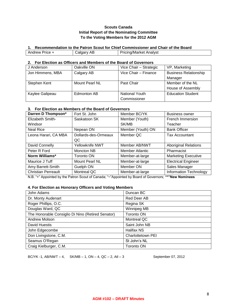## **Scouts Canada Initial Report of the Nominating Committee To the Voting Members for the 2012 AGM**

#### **1. Recommendation to the Patron Scout for Chief Commissioner and Chair of the Board**

| Price - | AЬ   | Pricing/Market |
|---------|------|----------------|
| Andrew  | alda | Analvst        |

#### **2. For Election as Officers and Members of the Board of Governors**

| J Anderson       | Oakville ON    | Vice Chair - Strategic | VP, Marketing                |
|------------------|----------------|------------------------|------------------------------|
| Jon Himmens, MBA | Calgary AB     | Vice Chair - Finance   | <b>Business Relationship</b> |
|                  |                |                        | Manager                      |
| Stephen Kent     | Mount Pearl NL | Past Chair             | Member of the NL             |
|                  |                |                        | House of Assembly            |
| Kaylee Galipeau  | Edmonton AB    | National Youth         | <b>Education Student</b>     |
|                  |                | Commissioner           |                              |

# **3. For Election as Members of the Board of Governors**

| Darren D Thompson*         | Fort St. John         | Member BC/YK      | <b>Business owner</b>         |
|----------------------------|-----------------------|-------------------|-------------------------------|
| Elizabeth Smith-           | Saskatoon SK          | Member (Youth)    | French Immersion              |
| Windsor                    |                       | SK/MB             | Teacher                       |
| <b>Neal Rice</b>           | Nepean ON             | Member (Youth) ON | <b>Bank Officer</b>           |
| Leona Harari, CA MBA       | Dollards-des-Ormeaux  | Member QC         | <b>Tax Accountant</b>         |
|                            | QC                    |                   |                               |
| David Connelly             | Yellowknife NWT       | Member AB/NWT     | <b>Aboriginal Relations</b>   |
| Peter R Ford               | Moncton NB            | Member Atlantic   | Pharmacist                    |
| Norm Williams*             | <b>Toronto ON</b>     | Member-at-large   | <b>Marketing Executive</b>    |
| Maurice J Tuff             | <b>Mount Pearl NL</b> | Member-at-large   | <b>Electrical Engineer</b>    |
| Amy Barrett-Smith          | Guelph ON             | Member ON         | Sales Manager                 |
| <b>Christian Perreault</b> | Montreal QC           | Member-at-large   | <b>Information Technology</b> |

N.B. "+" Appointed by the Patron Scout of Canada; "~"Appointed by Board of Governors; **"\*"New Nominees**

#### **4. For Election as Honorary Officers and Voting Members**

| John Adams                                        | Duncan BC         |
|---------------------------------------------------|-------------------|
| Dr. Monty Audenart                                | Red Deer AB       |
| Roger Phillips, O.C.                              | Regina SK         |
| Douglas Ward, QC                                  | Winnipeg MB       |
| The Honorable Consiglio Di Nino (Retired Senator) | <b>Toronto ON</b> |
| <b>Andrew Molson</b>                              | Montreal QC       |
| David Huestis                                     | Saint John NB     |
| John Edgecombe                                    | Halifax NS        |
| Don Livingstone, C.M.                             | Charlottetown PEI |
| Seamus O'Regan                                    | St John's NL      |
| Craig Kielburger, C.M.                            | <b>Toronto ON</b> |

BC/YK -1, AB/NWT – 4, SK/MB – 1, ON – 4, QC – 2, Atl – 3 September 07, 2012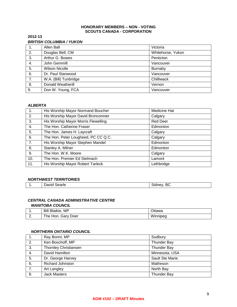#### **HONORARY MEMBERS – NON - VOTING SCOUTS CANADA - CORPORATION**

## **2012-13**  *BRITISH COLUMBIA / YUKON*

| 1. | Allen Ball            | Victoria          |
|----|-----------------------|-------------------|
| 2. | Douglas Bell, CM      | Whitehorse, Yukon |
| 3. | Arthur G. Bowes       | Penticton         |
| 4. | John Gemmill          | Vancouver         |
| 5. | <b>Wilson Nicolle</b> | Burnaby           |
| 6. | Dr. Paul Stanwood     | Vancouver         |
| 7. | W.A. (Bill) Tunbridge | Chilliwack        |
| 8. | Donald Weatherill     | Vernon            |
| 9. | Don W. Young, FCA     | Vancouver         |

## *ALBERTA*

| $\mathbf{1}$ . | His Worship Mayor Normand Boucher   | Medicine Hat    |
|----------------|-------------------------------------|-----------------|
| 2.             | His Worship Mayor David Bronconnier | Calgary         |
| 3.             | His Worship Mayor Morris Flewelling | <b>Red Deer</b> |
| 4.             | The Hon. Catherine Fraser           | Edmonton        |
| 5.             | The Hon. James H. Laycraft          | Calgary         |
| 6.             | The Hon. Peter Lougheed, PC CC Q.C. | Calgary         |
| 7.             | His Worship Mayor Stephen Mandel    | Edmonton        |
| 8.             | Stanley A. Milner                   | Edmonton        |
| 9.             | The Hon. W.K. Moore                 | Calgary         |
| 10.            | The Hon. Premier Ed Stelmach        | Lamont          |
| 11.            | His Worship Mayor Robert Tarleck    | Lethbridge      |

#### *NORTHWEST TERRITORIES*

| -<br>-<br>.,<br>David<br>searle<br>DU<br>. .<br>$\sim$ |
|--------------------------------------------------------|
|--------------------------------------------------------|

#### *CENTRAL CANADA ADMINISTRATIVE CENTRE MANITOBA COUNCIL*

| . .      | <b>Bill Blaikie, MP</b> | Ottawa   |
|----------|-------------------------|----------|
| <u>.</u> | The Hon.<br>Gary Doer   | Winnineg |

#### *NORTHERN ONTARIO COUNCIL*

|    | Ray Bonni, MP                | Sudbury            |
|----|------------------------------|--------------------|
| 2. | Ken Boschoff, MP             | <b>Thunder Bay</b> |
| 3. | <b>Thornley Christiansen</b> | <b>Thunder Bay</b> |
| 4. | David Hamilton               | Minnesota, USA     |
| 5. | Dr. George Harvey            | Sault Ste Marie    |
| 6. | <b>Richard Johnston</b>      | Matheson           |
| 7. | Art Langley                  | North Bay          |
| 8. | <b>Jack Masters</b>          | <b>Thunder Bay</b> |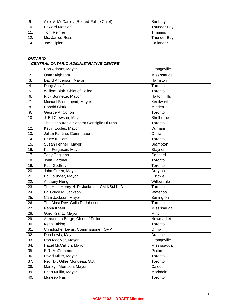| 9.  | Alex V. McCauley (Retired Police Chief) | Sudbury            |
|-----|-----------------------------------------|--------------------|
| 10. | <b>Edward Metzler</b>                   | Thunder Bay        |
| 11. | <b>Tom Reimer</b>                       | <b>Timmins</b>     |
| 12. | Ms. Janice Ross                         | <b>Thunder Bay</b> |
| 14. | Jack Tipler                             | Callander          |

# *ONTARIO*

#### *CENTRAL ONTARIO ADMINISTRATIVE CENTRE*

| 1.  | Rob Adams, Mayor                          | Orangeville         |
|-----|-------------------------------------------|---------------------|
| 2.  | Omar Alghabra                             | Mississauga         |
| 3.  | David Anderson, Mayor                     | Harriston           |
| 4.  | Dany Assaf                                | Toronto             |
| 5.  | William Blair, Chief of Police            | Toronto             |
| 6.  | Rick Bonnette, Mayor                      | <b>Halton Hills</b> |
| 7.  | Michael Broomhead, Mayor                  | Kenilworth          |
| 8.  | <b>Ronald Clark</b>                       | Minden              |
| 9.  | George A. Cohon                           | Toronto             |
| 10. | J. Ed Crewson, Mayor                      | Shelburne           |
| 11  | The Honourable Senator Consiglio Di Nino  | Toronto             |
| 12. | Kevin Eccles, Mayor                       | Durham              |
| 13. | Julian Fantino, Commissioner              | Orillia             |
| 14. | Bruce K. Farr                             | Toronto             |
| 15. | Susan Fennell, Mayor                      | Brampton            |
| 16. | Ken Ferguson, Mayor                       | Stayner             |
| 17. | Tony Gagliano                             | Concord             |
| 18. | John Gardner                              | Toronto             |
| 19. | Paul Godfrey                              | Toronto             |
| 20. | John Green, Mayor                         | Drayton             |
| 21  | Ed Hollinger, Mayor                       | Listowel            |
| 22. | Anthony Hung                              | Willowdale          |
| 23. | The Hon. Henry N. R. Jackman, CM KStJ LLD | Toronto             |
| 24. | Dr. Bruce M. Jackson                      | Waterloo            |
| 25. | Cam Jackson, Mayor                        | Burlington          |
| 26. | The Most Rev. Colin R. Johnson            | Toronto             |
| 27. | Rabia Khedr                               | Mississauga         |
| 28. | Gord Krantz, Mayor                        | Milton              |
| 29. | Armand La Barge, Chief of Police          | Newmarket           |
| 30. | <b>Keith Laking</b>                       | Toronto             |
| 31. | Christopher Lewis, Commissioner, OPP      | Orillia             |
| 32. | Don Lewis, Mayor                          | Dundalk             |
| 33. | Don MacIver, Mayor                        | Orangeville         |
| 34. | Hazel McCallion, Mayor                    | Mississauga         |
| 35. | E.R. McCrimmon                            | Picton              |
| 36. | David Miller, Mayor                       | Toronto             |
| 37. | Rev. Dr. Gilles Mongeau, S.J.             | Toronto             |
| 38. | Marolyn Morrison, Mayor                   | Caledon             |
| 39. | Brian Mullin, Mayor                       | Markdale            |
| 40. | Muneeb Nasir                              | Toronto             |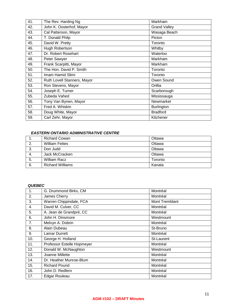| 41. | The Rev. Harding Ng         | Markham             |
|-----|-----------------------------|---------------------|
| 42. | John K. Oosterhof, Mayor    | <b>Grand Valley</b> |
| 43. | Cal Patterson, Mayor        | Wasaga Beach        |
| 44. | T. Donald Philp             | Picton              |
| 45. | David W. Pretty             | Toronto             |
| 46. | Hugh Robertson              | Whitby              |
| 47. | Dr. Robert Rosehart         | Waterloo            |
| 48. | Peter Sawyer                | Markham             |
| 49. | Frank Scarpitti, Mayor      | Markham             |
| 50. | The Hon. David P. Smith     | Toronto             |
| 51. | Imam Hamid Slimi            | Toronto             |
| 52. | Ruth Lovell Stanners, Mayor | Owen Sound          |
| 53. | Ron Stevens, Mayor          | Orillia             |
| 54. | Joseph E. Turner            | Scarborough         |
| 55. | Zubeda Vahed                | Mississauga         |
| 56. | Tony Van Bynen, Mayor       | Newmarket           |
| 57. | Fred A. Whiskin             | Burlington          |
| 58. | Doug White, Mayor           | <b>Bradford</b>     |
| 59. | Carl Zehr, Mayor            | Kitchener           |

# *EASTERN ONTARIO ADMINISTRATIVE CENTRE*

| ι. | <b>Richard Cowan</b>    | Ottawa  |
|----|-------------------------|---------|
| 2. | <b>William Fettes</b>   | Ottawa  |
| 3. | Don Judd                | Ottawa  |
| 4. | Jack McCracken          | Ottawa  |
| 5. | William Racz            | Toronto |
| 6. | <b>Richard Williams</b> | Kanata  |

#### *QUEBEC*

| 1.  | G. Drummond Birks, CM      | Montréal       |
|-----|----------------------------|----------------|
| 2.  | James Cherry               | Montréal       |
| 3.  | Warren Chippindale, FCA    | Mont Tremblant |
| 4.  | David M. Culver, CC        | Montréal       |
| 5.  | A. Jean de Grandpré, CC    | Montréal       |
| 6.  | John H. Dinsmore           | Westmount      |
| 7.  | Melvyn A. Dobrin           | Montréal       |
| 8.  | Alain Dubeau               | St-Bruno       |
| 9.  | Lamar Durrett              | Montréal       |
| 10. | George H. Holland          | St-Laurent     |
| 11. | Professor Estelle Hopmeyer | Montréal       |
| 12. | Donald W. McNaughton       | Westmount      |
| 13. | Joanne Millette            | Montréal       |
| 14. | Dr. Heather Munroe-Blum    | Montréal       |
| 15. | <b>Richard Pound</b>       | Montréal       |
| 16. | John D. Redfern            | Montréal       |
| 17. | <b>Edgar Rouleau</b>       | Montréal       |